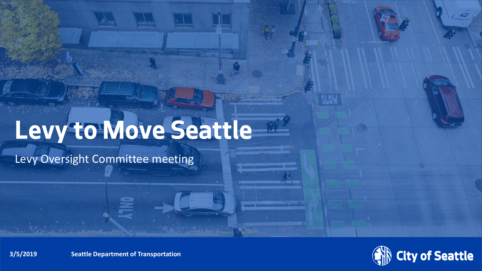# **Levy to Move Seattle**

Levy Oversight Committee meeting



**3/5/2019 Diame Seattle Department of Transportation**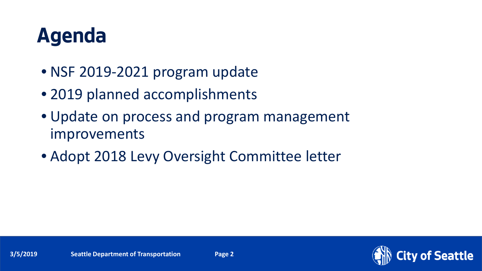## **Agenda**

- NSF 2019-2021 program update
- 2019 planned accomplishments
- Update on process and program management improvements
- Adopt 2018 Levy Oversight Committee letter

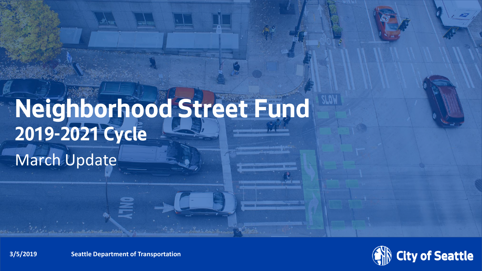## **Neighborhood Street Fund 2019-2021 Cycle** March Update



**3/5/2019 Diame Seattle Department of Transportation**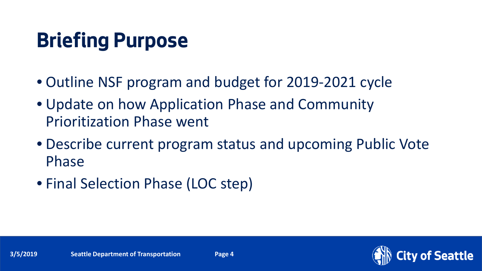## **Briefing Purpose**

- Outline NSF program and budget for 2019-2021 cycle
- Update on how Application Phase and Community Prioritization Phase went
- Describe current program status and upcoming Public Vote Phase
- Final Selection Phase (LOC step)

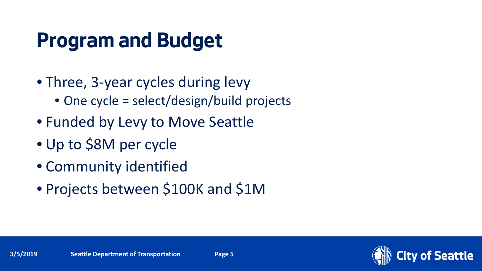## **Program and Budget**

- Three, 3-year cycles during levy
	- One cycle = select/design/build projects
- Funded by Levy to Move Seattle
- Up to \$8M per cycle
- Community identified
- Projects between \$100K and \$1M

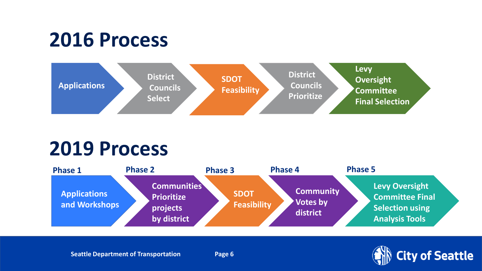## **2016 Process**



## **2019 Process**



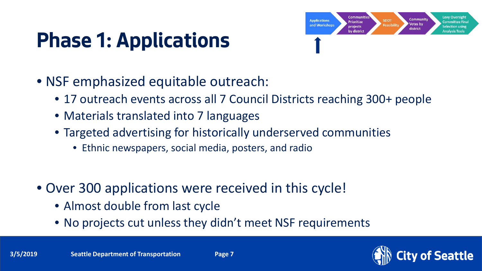# **Phase 1: Applications**



- NSF emphasized equitable outreach:
	- 17 outreach events across all 7 Council Districts reaching 300+ people
	- Materials translated into 7 languages
	- Targeted advertising for historically underserved communities
		- Ethnic newspapers, social media, posters, and radio
- Over 300 applications were received in this cycle!
	- Almost double from last cycle
	- No projects cut unless they didn't meet NSF requirements

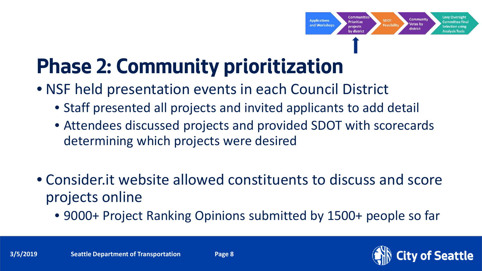

## **Phase 2: Community prioritization**

- NSF held presentation events in each Council District
	- Staff presented all projects and invited applicants to add detail
	- Attendees discussed projects and provided SDOT with scorecards determining which projects were desired
- Consider.it website allowed constituents to discuss and score projects online
	- 9000+ Project Ranking Opinions submitted by 1500+ people so far

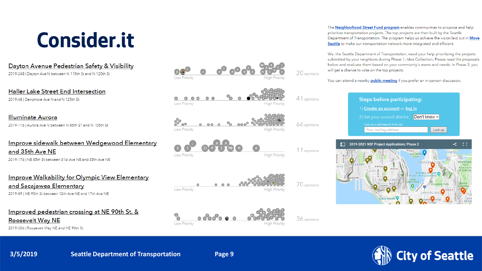## **Consider.it**

Dayton Avenue Pedestrian Safety & Visibility

2019-248 | Dayton Ave N between N 115th St and N 120th St

Haller Lake Street End Intersection

2019-48 | Densmore Ave N and N 125th St

### **Illuminate Aurora**

2019-116 | Aurora Ave N between N 85th ST and N 105th St

### Improve sidewalk between Wedgewood Elementary and 35th Ave NE 2019-176 | NE 85th St between 31st Ave NE and 35th Ave NE

Improve Walkability for Olympic View Elementary and Sacajawea Elementary 2019-89 | NE 95th St between 12th Ave NE and 17th Ave NE

### Improved pedestrian crossing at NE 90th St. &

**Roosevelt Way NE** 

2019-306 | Roosevelt Way NE and NE 90th St



The Neighborhood Street Fund program enables communities to propose and help prioritize transportation projects. The top projects are then built by the Seattle Department of Transportation. The program helps us achieve the vision laid out in Move Seattle to make our transportation network more integrated and efficient.

We, the Seattle Department of Transportation, need your help prioritizing the projects submitted by your neighbors during Phase 1: Idea Collection. Please read the proposals below and evaluate them based on your community's wants and needs. In Phase 3, you will get a chance to vote on the top projects.

You can attend a nearby **public meeting** if you prefer an in-person discussion.



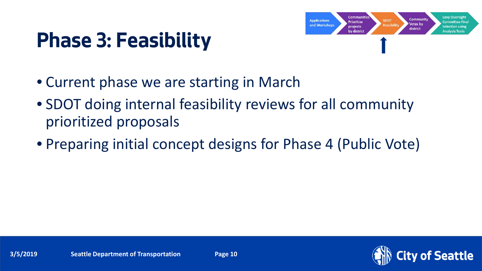## **Phase 3: Feasibility**



- Current phase we are starting in March
- SDOT doing internal feasibility reviews for all community prioritized proposals
- Preparing initial concept designs for Phase 4 (Public Vote)

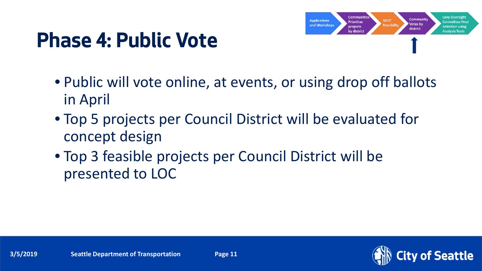## **Phase 4: Public Vote**



- Public will vote online, at events, or using drop off ballots in April
- Top 5 projects per Council District will be evaluated for concept design
- Top 3 feasible projects per Council District will be presented to LOC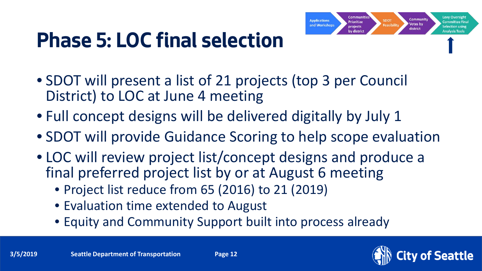## **Phase 5: LOC final selection**

- SDOT will present a list of 21 projects (top 3 per Council District) to LOC at June 4 meeting
- Full concept designs will be delivered digitally by July 1
- SDOT will provide Guidance Scoring to help scope evaluation
- LOC will review project list/concept designs and produce a final preferred project list by or at August 6 meeting
	- Project list reduce from 65 (2016) to 21 (2019)
	- Evaluation time extended to August
	- Equity and Community Support built into process already

**Levy Oversig** 

**Committee Fina** 

Selection using

**Analysis Tools** 

Communit

Votes by

district

**SDOT** 

**Feasibilit** 

Communiti

**Prioritize** 

projects

by district

**Applications** 

and Workshops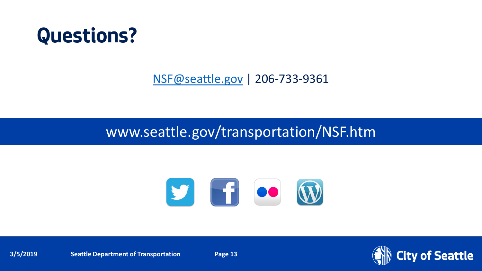## **Questions?**

[NSF@seattle.gov](mailto:NSF@seattle.gov) | 206-733-9361

### www.seattle.gov/transportation/NSF.htm



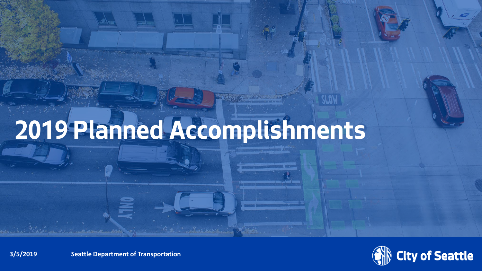# **2019 Planned Accomplishments**



**3/5/2019 Diame Seattle Department of Transportation**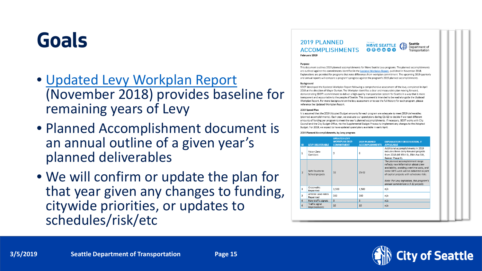## **Goals**

- [Updated Levy Workplan Report](https://www.seattle.gov/Documents/Departments/SDOT/About/Funding/2018_1129_MoveSeattle_WorkPlan_FINAL.pdf) (November 2018) provides baseline for remaining years of Levy
- Planned Accomplishment document is an annual outline of a given year's planned deliverables
- We will confirm or update the plan for that year given any changes to funding, citywide priorities, or updates to schedules/risk/etc

### 2019 PLANNED **ACCOMPLISHMENTS** February 2019



#### Purpose

This document outlines 2019 planned accomplishments for Move Seattle Levy programs. The planned accomplishments are outlined against the commitments identified in the Updated Workplan Report, published in November 2018. Explanations are provided for programs that note differences from workplan commitment. The upcoming 2019 quarterly and annual reports will compare a program's progress against the program's 2019 planned accomplishments

#### Background

SDOT developed the Updated Workplan Report following a comprehensive assessment of the levy, completed in April 2018 at the direction of Mayor Durkan. The Workplan identifies a clear and measurable plan moving forward, demonstrating SDOT's commitment to deliver a high-quality transportation system for Seattle in a way that is more transparent and accountable to the people of Seattle. This document is intended to be read alongside the Updated Workplan Report. For more background on the levy assessment or to see the full history for each program, please reference the Updated Workplan Report.

#### 2019 Spend Plar

It is assumed that the 2019 Adopted Budget amounts for each program are adequate to meet 2019 deliverables (planned accomplishments). Each year, we evaluate our spend plans during Q1-Q2 to decide if we need different amounts of funding per program to meet the year's planned accomplishments. If necessary, SDOT works with City Council and the City Budget Office, via the Supplemental Budget Process to implement any changes to the Adopted Budget. For 2019, we expect to have updated spend plans available in early April.





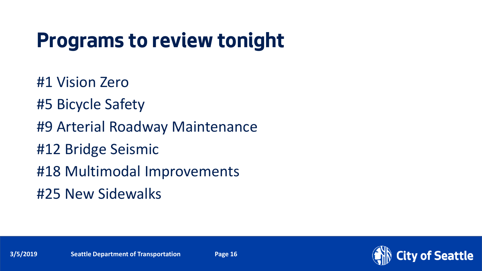## **Programs to review tonight**

#1 Vision Zero #5 Bicycle Safety #9 Arterial Roadway Maintenance #12 Bridge Seismic #18 Multimodal Improvements #25 New Sidewalks



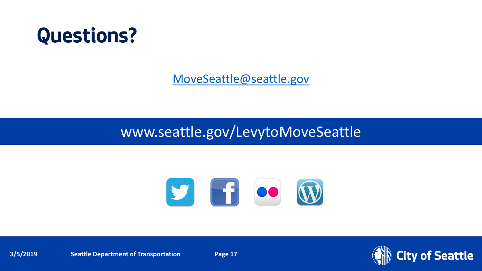## **Questions?**

[MoveSeattle@seattle.gov](mailto:MoveSeattle@seattle.gov)

### www.seattle.gov/LevytoMoveSeattle



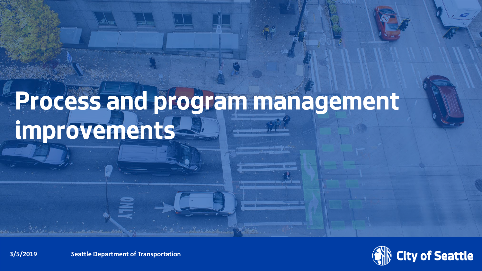# **Process and program management improvements**



**3/5/2019 Diagonal Seattle Department of Transportation**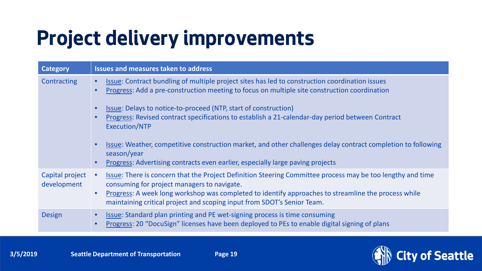## **Project delivery improvements**

| <b>Category</b>                | <b>Issues and measures taken to address</b>                                                                                                                                                                                                                                                                                                                                                                        |
|--------------------------------|--------------------------------------------------------------------------------------------------------------------------------------------------------------------------------------------------------------------------------------------------------------------------------------------------------------------------------------------------------------------------------------------------------------------|
| Contracting                    | Issue: Contract bundling of multiple project sites has led to construction coordination issues<br>Progress: Add a pre-construction meeting to focus on multiple site construction coordination                                                                                                                                                                                                                     |
|                                | Issue: Delays to notice-to-proceed (NTP, start of construction)<br>Progress: Revised contract specifications to establish a 21-calendar-day period between Contract<br>Execution/NTP<br>Issue: Weather, competitive construction market, and other challenges delay contract completion to following<br>season/year<br>Progress: Advertising contracts even earlier, especially large paving projects<br>$\bullet$ |
| Capital project<br>development | Issue: There is concern that the Project Definition Steering Committee process may be too lengthy and time<br>consuming for project managers to navigate.<br>Progress: A week long workshop was completed to identify approaches to streamline the process while<br>maintaining critical project and scoping input from SDOT's Senior Team.                                                                        |
| <b>Design</b>                  | <b>Issue: Standard plan printing and PE wet-signing process is time consuming</b><br>Progress: 20 "DocuSign" licenses have been deployed to PEs to enable digital signing of plans                                                                                                                                                                                                                                 |

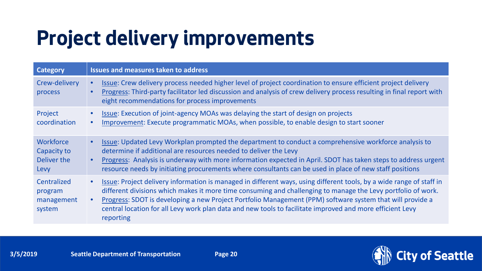## **Project delivery improvements**

| <b>Category</b>                                        | <b>Issues and measures taken to address</b>                                                                                                                                                                                                                                                                                                                                                                                                                                                           |
|--------------------------------------------------------|-------------------------------------------------------------------------------------------------------------------------------------------------------------------------------------------------------------------------------------------------------------------------------------------------------------------------------------------------------------------------------------------------------------------------------------------------------------------------------------------------------|
| Crew-delivery<br>process                               | Issue: Crew delivery process needed higher level of project coordination to ensure efficient project delivery<br>$\bullet$<br>Progress: Third-party facilitator led discussion and analysis of crew delivery process resulting in final report with<br>$\bullet$<br>eight recommendations for process improvements                                                                                                                                                                                    |
| Project<br>coordination                                | Issue: Execution of joint-agency MOAs was delaying the start of design on projects<br>Improvement: Execute programmatic MOAs, when possible, to enable design to start sooner<br>$\bullet$                                                                                                                                                                                                                                                                                                            |
| <b>Workforce</b><br>Capacity to<br>Deliver the<br>Levy | Issue: Updated Levy Workplan prompted the department to conduct a comprehensive workforce analysis to<br>$\bullet$<br>determine if additional are resources needed to deliver the Levy<br>Progress: Analysis is underway with more information expected in April. SDOT has taken steps to address urgent<br>$\bullet$<br>resource needs by initiating procurements where consultants can be used in place of new staff positions                                                                      |
| Centralized<br>program<br>management<br>system         | Issue: Project delivery information is managed in different ways, using different tools, by a wide range of staff in<br>$\bullet$<br>different divisions which makes it more time consuming and challenging to manage the Levy portfolio of work.<br>Progress: SDOT is developing a new Project Portfolio Management (PPM) software system that will provide a<br>$\bullet$<br>central location for all Levy work plan data and new tools to facilitate improved and more efficient Levy<br>reporting |

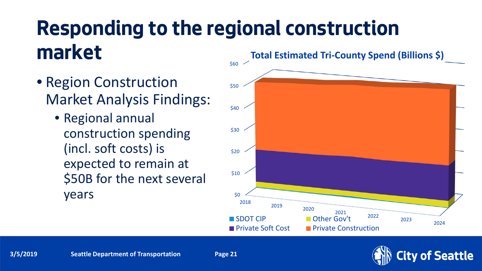## **Responding to the regional construction market**

- Region Construction Market Analysis Findings:
	- Regional annual construction spending (incl. soft costs) is expected to remain at \$50B for the next several  $\gamma$ ears  $\frac{1}{2018}$



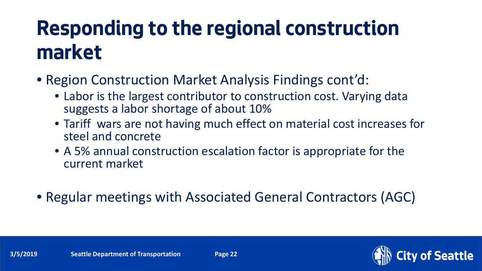## **Responding to the regional construction market**

- Region Construction Market Analysis Findings cont'd:
	- Labor is the largest contributor to construction cost. Varying data suggests a labor shortage of about 10%
	- Tariff wars are not having much effect on material cost increases for steel and concrete
	- A 5% annual construction escalation factor is appropriate for the current market
- Regular meetings with Associated General Contractors (AGC)